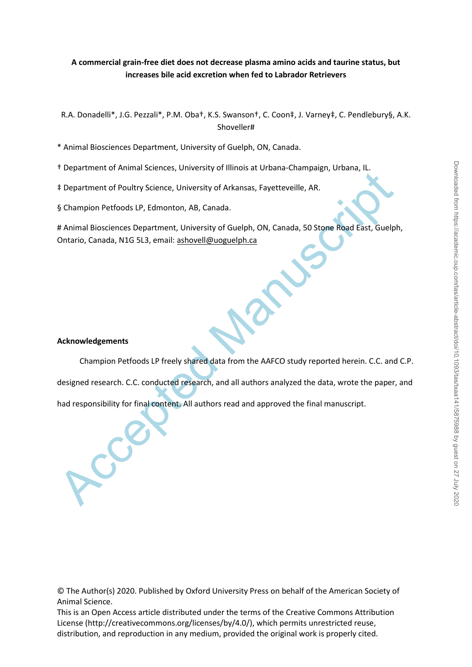# **A commercial grain-free diet does not decrease plasma amino acids and taurine status, but increases bile acid excretion when fed to Labrador Retrievers**

R.A. Donadelli\*, J.G. Pezzali\*, P.M. Oba†, K.S. Swanson†, C. Coon‡, J. Varney‡, C. Pendlebury§, A.K. Shoveller#

\* Animal Biosciences Department, University of Guelph, ON, Canada.

- † Department of Animal Sciences, University of Illinois at Urbana-Champaign, Urbana, IL.
- ‡ Department of Poultry Science, University of Arkansas, Fayetteveille, AR.

§ Champion Petfoods LP, Edmonton, AB, Canada.

# Animal Biosciences Department, University of Guelph, ON, Canada, 50 Stone Road East, Guelph, Ontario, Canada, N1G 5L3, email: ashovell@uoguelph.ca

# **Acknowledgements**

Expansion of Poultry Science, University of Arkansas, Fayettevellie, AR.<br>
S Champion Petfoods LP, Edmonton, AB, Canada.<br>
A Animal Biosciences Department, University of Guelph, ON, Canada, 50 Store Road East, Guelph<br>Ontario Champion Petfoods LP freely shared data from the AAFCO study reported herein. C.C. and C.P. designed research. C.C. conducted research, and all authors analyzed the data, wrote the paper, and had responsibility for final content. All authors read and approved the final manuscript.

© The Author(s) 2020. Published by Oxford University Press on behalf of the American Society of Animal Science.

This is an Open Access article distributed under the terms of the Creative Commons Attribution License (http://creativecommons.org/licenses/by/4.0/), which permits unrestricted reuse, distribution, and reproduction in any medium, provided the original work is properly cited.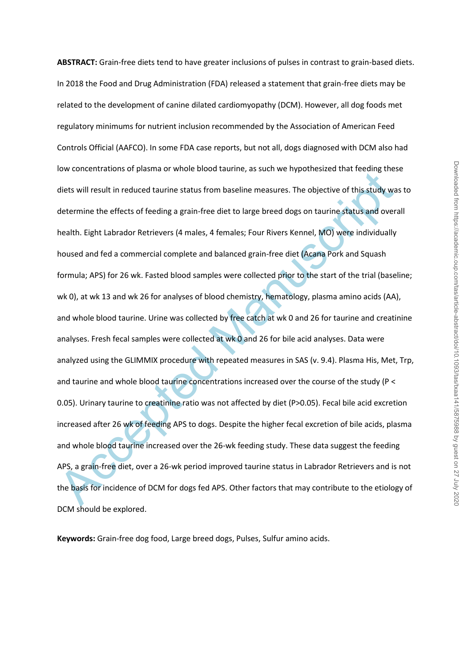not concentrations or pussine or whote chood dotinine, as start we inponensate that tectoms ones diets will result in reduced taurine status from baseline measures. The objective of this study was determine the effects of **ABSTRACT:** Grain-free diets tend to have greater inclusions of pulses in contrast to grain-based diets. In 2018 the Food and Drug Administration (FDA) released a statement that grain-free diets may be related to the development of canine dilated cardiomyopathy (DCM). However, all dog foods met regulatory minimums for nutrient inclusion recommended by the Association of American Feed Controls Official (AAFCO). In some FDA case reports, but not all, dogs diagnosed with DCM also had low concentrations of plasma or whole blood taurine, as such we hypothesized that feeding these diets will result in reduced taurine status from baseline measures. The objective of this study was to determine the effects of feeding a grain-free diet to large breed dogs on taurine status and overall health. Eight Labrador Retrievers (4 males, 4 females; Four Rivers Kennel, MO) were individually housed and fed a commercial complete and balanced grain-free diet (Acana Pork and Squash formula; APS) for 26 wk. Fasted blood samples were collected prior to the start of the trial (baseline; wk 0), at wk 13 and wk 26 for analyses of blood chemistry, hematology, plasma amino acids (AA), and whole blood taurine. Urine was collected by free catch at wk 0 and 26 for taurine and creatinine analyses. Fresh fecal samples were collected at wk 0 and 26 for bile acid analyses. Data were analyzed using the GLIMMIX procedure with repeated measures in SAS (v. 9.4). Plasma His, Met, Trp, and taurine and whole blood taurine concentrations increased over the course of the study (P < 0.05). Urinary taurine to creatinine ratio was not affected by diet (P>0.05). Fecal bile acid excretion increased after 26 wk of feeding APS to dogs. Despite the higher fecal excretion of bile acids, plasma and whole blood taurine increased over the 26-wk feeding study. These data suggest the feeding APS, a grain-free diet, over a 26-wk period improved taurine status in Labrador Retrievers and is not the basis for incidence of DCM for dogs fed APS. Other factors that may contribute to the etiology of DCM should be explored.

**Keywords:** Grain-free dog food, Large breed dogs, Pulses, Sulfur amino acids.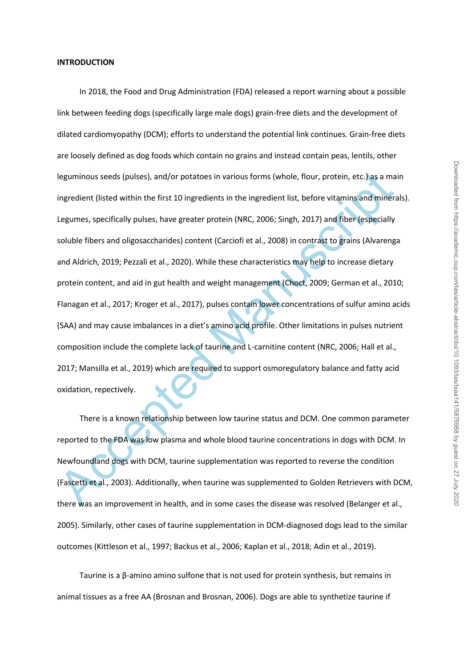Ieguminous seeds (pulses), and/or potatoes in various forms (whole, flour, protein, etc.) as a maingredient (listed within the first 10 ingredients in the ingredient list, before vitamins and mineral lingue and and mineral In 2018, the Food and Drug Administration (FDA) released a report warning about a possible link between feeding dogs (specifically large male dogs) grain-free diets and the development of dilated cardiomyopathy (DCM); efforts to understand the potential link continues. Grain-free diets are loosely defined as dog foods which contain no grains and instead contain peas, lentils, other leguminous seeds (pulses), and/or potatoes in various forms (whole, flour, protein, etc.) as a main ingredient (listed within the first 10 ingredients in the ingredient list, before vitamins and minerals). Legumes, specifically pulses, have greater protein (NRC, 2006; Singh, 2017) and fiber (especially soluble fibers and oligosaccharides) content (Carciofi et al., 2008) in contrast to grains (Alvarenga and Aldrich, 2019; Pezzali et al., 2020). While these characteristics may help to increase dietary protein content, and aid in gut health and weight management (Choct, 2009; German et al., 2010; Flanagan et al., 2017; Kroger et al., 2017), pulses contain lower concentrations of sulfur amino acids (SAA) and may cause imbalances in a diet's amino acid profile. Other limitations in pulses nutrient composition include the complete lack of taurine and L-carnitine content (NRC, 2006; Hall et al., 2017; Mansilla et al., 2019) which are required to support osmoregulatory balance and fatty acid oxidation, repectively.

There is a known relationship between low taurine status and DCM. One common parameter reported to the FDA was low plasma and whole blood taurine concentrations in dogs with DCM. In Newfoundland dogs with DCM, taurine supplementation was reported to reverse the condition (Fascetti et al., 2003). Additionally, when taurine was supplemented to Golden Retrievers with DCM, there was an improvement in health, and in some cases the disease was resolved (Belanger et al., 2005). Similarly, other cases of taurine supplementation in DCM-diagnosed dogs lead to the similar outcomes (Kittleson et al., 1997; Backus et al., 2006; Kaplan et al., 2018; Adin et al., 2019).

Taurine is a β-amino amino sulfone that is not used for protein synthesis, but remains in animal tissues as a free AA (Brosnan and Brosnan, 2006). Dogs are able to synthetize taurine if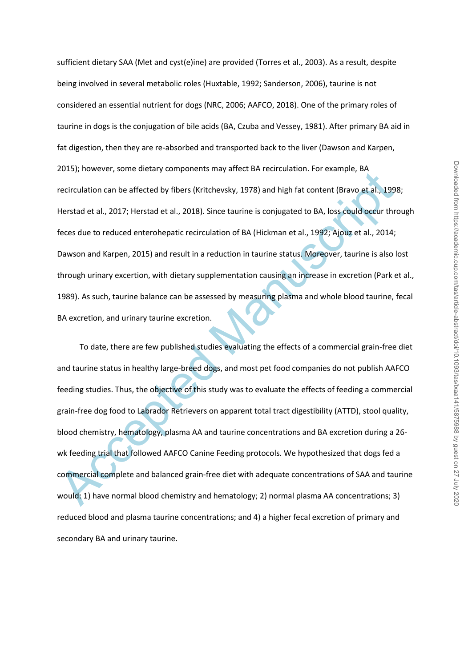sufficient dietary SAA (Met and cyst(e)ine) are provided (Torres et al., 2003). As a result, despite being involved in several metabolic roles (Huxtable, 1992; Sanderson, 2006), taurine is not considered an essential nutrient for dogs (NRC, 2006; AAFCO, 2018). One of the primary roles of taurine in dogs is the conjugation of bile acids (BA, Czuba and Vessey, 1981). After primary BA aid in fat digestion, then they are re-absorbed and transported back to the liver (Dawson and Karpen, 2015); however, some dietary components may affect BA recirculation. For example, BA recirculation can be affected by fibers (Kritchevsky, 1978) and high fat content (Bravo et al., 1998; Herstad et al., 2017; Herstad et al., 2018). Since taurine is conjugated to BA, loss could occur through feces due to reduced enterohepatic recirculation of BA (Hickman et al., 1992; Ajouz et al., 2014; Dawson and Karpen, 2015) and result in a reduction in taurine status. Moreover, taurine is also lost through urinary excertion, with dietary supplementation causing an increase in excretion (Park et al., 1989). As such, taurine balance can be assessed by measuring plasma and whole blood taurine, fecal BA excretion, and urinary taurine excretion.

Exactly, nowever, some uncerty components may entered received and the concerned Manuscripts, between the distance detect of the sample, the concerned Manuscript details, 1991<br>Herstad et al., 2017; Herstad et al., 2018). S To date, there are few published studies evaluating the effects of a commercial grain-free diet and taurine status in healthy large-breed dogs, and most pet food companies do not publish AAFCO feeding studies. Thus, the objective of this study was to evaluate the effects of feeding a commercial grain-free dog food to Labrador Retrievers on apparent total tract digestibility (ATTD), stool quality, blood chemistry, hematology, plasma AA and taurine concentrations and BA excretion during a 26 wk feeding trial that followed AAFCO Canine Feeding protocols. We hypothesized that dogs fed a commercial complete and balanced grain-free diet with adequate concentrations of SAA and taurine would: 1) have normal blood chemistry and hematology; 2) normal plasma AA concentrations; 3) reduced blood and plasma taurine concentrations; and 4) a higher fecal excretion of primary and secondary BA and urinary taurine.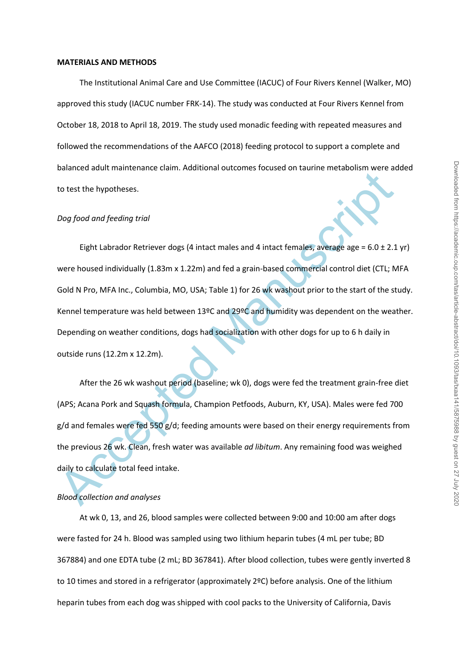#### **MATERIALS AND METHODS**

The Institutional Animal Care and Use Committee (IACUC) of Four Rivers Kennel (Walker, MO) approved this study (IACUC number FRK-14). The study was conducted at Four Rivers Kennel from October 18, 2018 to April 18, 2019. The study used monadic feeding with repeated measures and followed the recommendations of the AAFCO (2018) feeding protocol to support a complete and balanced adult maintenance claim. Additional outcomes focused on taurine metabolism were added to test the hypotheses.

### *Dog food and feeding trial*

Electric to the hypotheses.<br>
Dog food and feeding trial<br>
Electric hardcon Retriever dogs (4 intact males and 4 intact females, average age = 6.0 ± 2.1<br>
were housed individually (1.83m x 1.22m) and fed a grain-based commerc Eight Labrador Retriever dogs (4 intact males and 4 intact females, average age =  $6.0 \pm 2.1$  yr) were housed individually (1.83m x 1.22m) and fed a grain-based commercial control diet (CTL; MFA Gold N Pro, MFA Inc., Columbia, MO, USA; Table 1) for 26 wk washout prior to the start of the study. Kennel temperature was held between 13ºC and 29ºC and humidity was dependent on the weather. Depending on weather conditions, dogs had socialization with other dogs for up to 6 h daily in outside runs (12.2m x 12.2m).

After the 26 wk washout period (baseline; wk 0), dogs were fed the treatment grain-free diet (APS; Acana Pork and Squash formula, Champion Petfoods, Auburn, KY, USA). Males were fed 700  $g/d$  and females were fed 550  $g/d$ ; feeding amounts were based on their energy requirements from the previous 26 wk. Clean, fresh water was available *ad libitum*. Any remaining food was weighed daily to calculate total feed intake.

### *Blood collection and analyses*

At wk 0, 13, and 26, blood samples were collected between 9:00 and 10:00 am after dogs were fasted for 24 h. Blood was sampled using two lithium heparin tubes (4 mL per tube; BD 367884) and one EDTA tube (2 mL; BD 367841). After blood collection, tubes were gently inverted 8 to 10 times and stored in a refrigerator (approximately 2ºC) before analysis. One of the lithium heparin tubes from each dog was shipped with cool packs to the University of California, Davis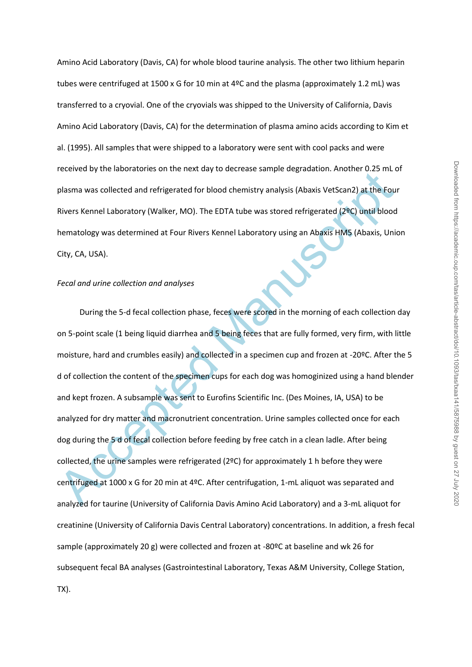Amino Acid Laboratory (Davis, CA) for whole blood taurine analysis. The other two lithium heparin tubes were centrifuged at 1500 x G for 10 min at 4ºC and the plasma (approximately 1.2 mL) was transferred to a cryovial. One of the cryovials was shipped to the University of California, Davis Amino Acid Laboratory (Davis, CA) for the determination of plasma amino acids according to Kim et al. (1995). All samples that were shipped to a laboratory were sent with cool packs and were received by the laboratories on the next day to decrease sample degradation. Another 0.25 mL of plasma was collected and refrigerated for blood chemistry analysis (Abaxis VetScan2) at the Four Rivers Kennel Laboratory (Walker, MO). The EDTA tube was stored refrigerated (2ºC) until blood hematology was determined at Four Rivers Kennel Laboratory using an Abaxis HM5 (Abaxis, Union City, CA, USA).

## *Fecal and urine collection and analyses*

plasma was collected and refrigerated for blood chemistry analysis (Abaxis VetScan2) at the Fourthern Shares Kennel Laboratory (Walker, MO). The EDTA tube was stored refrigerated (2ºC) until blood<br>Rivers Kennel Laboratory During the 5-d fecal collection phase, feces were scored in the morning of each collection day on 5-point scale (1 being liquid diarrhea and 5 being feces that are fully formed, very firm, with little moisture, hard and crumbles easily) and collected in a specimen cup and frozen at -20ºC. After the 5 d of collection the content of the specimen cups for each dog was homoginized using a hand blender and kept frozen. A subsample was sent to Eurofins Scientific Inc. (Des Moines, IA, USA) to be analyzed for dry matter and macronutrient concentration. Urine samples collected once for each dog during the 5 d of fecal collection before feeding by free catch in a clean ladle. After being collected, the urine samples were refrigerated (2ºC) for approximately 1 h before they were centrifuged at 1000 x G for 20 min at 4ºC. After centrifugation, 1-mL aliquot was separated and analyzed for taurine (University of California Davis Amino Acid Laboratory) and a 3-mL aliquot for creatinine (University of California Davis Central Laboratory) concentrations. In addition, a fresh fecal sample (approximately 20 g) were collected and frozen at -80ºC at baseline and wk 26 for subsequent fecal BA analyses (Gastrointestinal Laboratory, Texas A&M University, College Station, TX).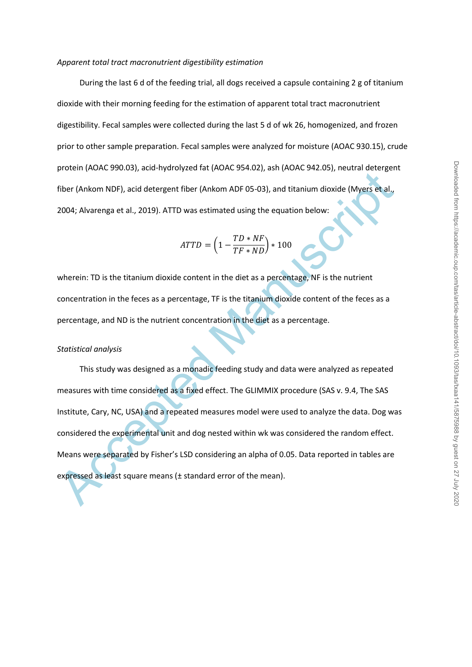### *Apparent total tract macronutrient digestibility estimation*

During the last 6 d of the feeding trial, all dogs received a capsule containing 2 g of titanium dioxide with their morning feeding for the estimation of apparent total tract macronutrient digestibility. Fecal samples were collected during the last 5 d of wk 26, homogenized, and frozen prior to other sample preparation. Fecal samples were analyzed for moisture (AOAC 930.15), crude protein (AOAC 990.03), acid-hydrolyzed fat (AOAC 954.02), ash (AOAC 942.05), neutral detergent fiber (Ankom NDF), acid detergent fiber (Ankom ADF 05-03), and titanium dioxide (Myers et al., 2004; Alvarenga et al., 2019). ATTD was estimated using the equation below:

$$
ATTD = \left(1 - \frac{TD * NF}{TF * ND}\right) * 100
$$

wherein: TD is the titanium dioxide content in the diet as a percentage, NF is the nutrient concentration in the feces as a percentage, TF is the titanium dioxide content of the feces as a percentage, and ND is the nutrient concentration in the diet as a percentage.

### *Statistical analysis*

From Protein proteins and Proteins of Proteins of Proteins of the Proteins and Content (Mateum Scheme)<br>
Acceptible (Ankom NDF), acid detergent fiber (Ankom ADF 05-03), and titanium dioxide (Myers et al.,<br>
2004; Alvarenga This study was designed as a monadic feeding study and data were analyzed as repeated measures with time considered as a fixed effect. The GLIMMIX procedure (SAS v. 9.4, The SAS Institute, Cary, NC, USA) and a repeated measures model were used to analyze the data. Dog was considered the experimental unit and dog nested within wk was considered the random effect. Means were separated by Fisher's LSD considering an alpha of 0.05. Data reported in tables are expressed as least square means (± standard error of the mean).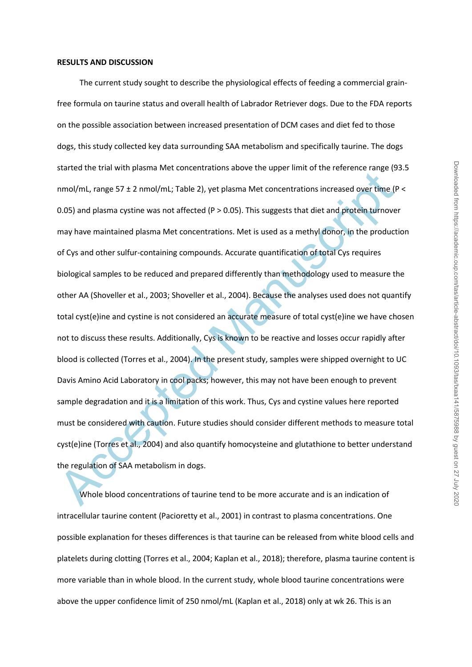#### **RESULTS AND DISCUSSION**

eteriore oras many passing meritains and the substantial method in the substantial method of many finds (a) promotival process or the production of the productions increased over time (for a mol)/ml, range 57 ± 2 nmol/ml; The current study sought to describe the physiological effects of feeding a commercial grainfree formula on taurine status and overall health of Labrador Retriever dogs. Due to the FDA reports on the possible association between increased presentation of DCM cases and diet fed to those dogs, this study collected key data surrounding SAA metabolism and specifically taurine. The dogs started the trial with plasma Met concentrations above the upper limit of the reference range (93.5 nmol/mL, range 57 ± 2 nmol/mL; Table 2), yet plasma Met concentrations increased over time (P < 0.05) and plasma cystine was not affected (P > 0.05). This suggests that diet and protein turnover may have maintained plasma Met concentrations. Met is used as a methyl donor, in the production of Cys and other sulfur-containing compounds. Accurate quantification of total Cys requires biological samples to be reduced and prepared differently than methodology used to measure the other AA (Shoveller et al., 2003; Shoveller et al., 2004). Because the analyses used does not quantify total cyst(e)ine and cystine is not considered an accurate measure of total cyst(e)ine we have chosen not to discuss these results. Additionally, Cys is known to be reactive and losses occur rapidly after blood is collected (Torres et al., 2004). In the present study, samples were shipped overnight to UC Davis Amino Acid Laboratory in cool packs; however, this may not have been enough to prevent sample degradation and it is a limitation of this work. Thus, Cys and cystine values here reported must be considered with caution. Future studies should consider different methods to measure total cyst(e)ine (Torres et al., 2004) and also quantify homocysteine and glutathione to better understand the regulation of SAA metabolism in dogs.

Whole blood concentrations of taurine tend to be more accurate and is an indication of intracellular taurine content (Pacioretty et al., 2001) in contrast to plasma concentrations. One possible explanation for theses differences is that taurine can be released from white blood cells and platelets during clotting (Torres et al., 2004; Kaplan et al., 2018); therefore, plasma taurine content is more variable than in whole blood. In the current study, whole blood taurine concentrations were above the upper confidence limit of 250 nmol/mL (Kaplan et al., 2018) only at wk 26. This is an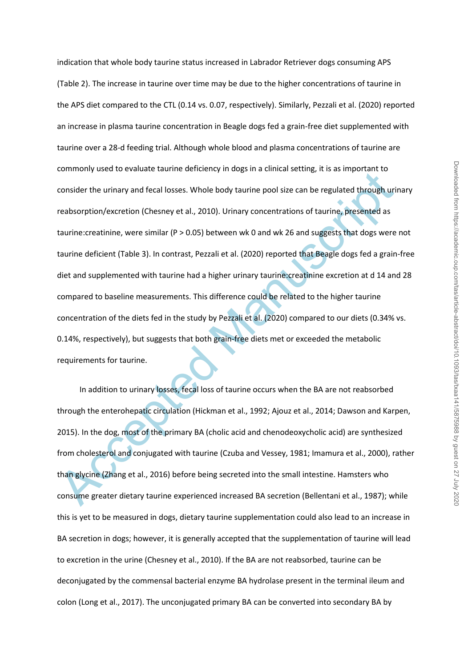consider the urinary and fecal losses. Whole body taurine pool size can be regulated through urin<br>consider the urinary and fecal losses. Whole body taurine pool size can be regulated through urinesbsorption/excretion (Ches indication that whole body taurine status increased in Labrador Retriever dogs consuming APS (Table 2). The increase in taurine over time may be due to the higher concentrations of taurine in the APS diet compared to the CTL (0.14 vs. 0.07, respectively). Similarly, Pezzali et al. (2020) reported an increase in plasma taurine concentration in Beagle dogs fed a grain-free diet supplemented with taurine over a 28-d feeding trial. Although whole blood and plasma concentrations of taurine are commonly used to evaluate taurine deficiency in dogs in a clinical setting, it is as important to consider the urinary and fecal losses. Whole body taurine pool size can be regulated through urinary reabsorption/excretion (Chesney et al., 2010). Urinary concentrations of taurine, presented as taurine:creatinine, were similar (P > 0.05) between wk 0 and wk 26 and suggests that dogs were not taurine deficient (Table 3). In contrast, Pezzali et al. (2020) reported that Beagle dogs fed a grain-free diet and supplemented with taurine had a higher urinary taurine:creatinine excretion at d 14 and 28 compared to baseline measurements. This difference could be related to the higher taurine concentration of the diets fed in the study by Pezzali et al. (2020) compared to our diets (0.34% vs. 0.14%, respectively), but suggests that both grain-free diets met or exceeded the metabolic requirements for taurine.

In addition to urinary losses, fecal loss of taurine occurs when the BA are not reabsorbed through the enterohepatic circulation (Hickman et al., 1992; Ajouz et al., 2014; Dawson and Karpen, 2015). In the dog, most of the primary BA (cholic acid and chenodeoxycholic acid) are synthesized from cholesterol and conjugated with taurine (Czuba and Vessey, 1981; Imamura et al., 2000), rather than glycine (Zhang et al., 2016) before being secreted into the small intestine. Hamsters who consume greater dietary taurine experienced increased BA secretion (Bellentani et al., 1987); while this is yet to be measured in dogs, dietary taurine supplementation could also lead to an increase in BA secretion in dogs; however, it is generally accepted that the supplementation of taurine will lead to excretion in the urine (Chesney et al., 2010). If the BA are not reabsorbed, taurine can be deconjugated by the commensal bacterial enzyme BA hydrolase present in the terminal ileum and colon (Long et al., 2017). The unconjugated primary BA can be converted into secondary BA by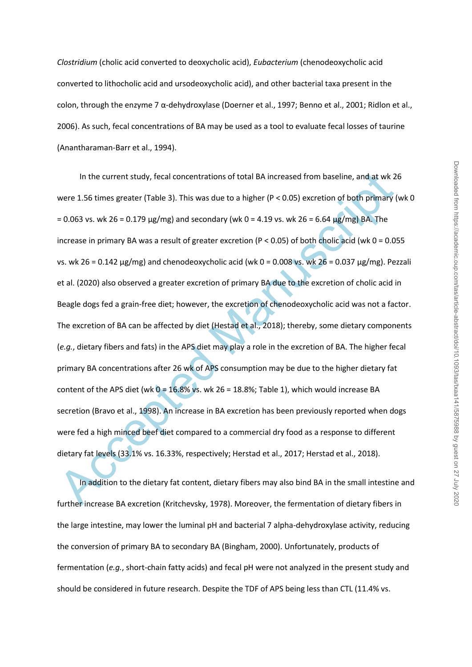*Clostridium* (cholic acid converted to deoxycholic acid), *Eubacterium* (chenodeoxycholic acid converted to lithocholic acid and ursodeoxycholic acid), and other bacterial taxa present in the colon, through the enzyme 7 α-dehydroxylase (Doerner et al., 1997; Benno et al., 2001; Ridlon et al., 2006). As such, fecal concentrations of BA may be used as a tool to evaluate fecal losses of taurine (Anantharaman-Barr et al., 1994).

In the current study, fecal concentrations of total BA increased from baseline, and at wk 2<br>vere 1.56 times greater (Table 3). This was due to a higher (P < 0.05) excretion of both primary (<br>= 0.063 vs. wk 26 = 0.179 µg/m In the current study, fecal concentrations of total BA increased from baseline, and at wk 26 were 1.56 times greater (Table 3). This was due to a higher (P < 0.05) excretion of both primary (wk 0  $= 0.063$  vs. wk 26 = 0.179  $\mu$ g/mg) and secondary (wk 0 = 4.19 vs. wk 26 = 6.64  $\mu$ g/mg) BA. The increase in primary BA was a result of greater excretion (P < 0.05) of both cholic acid (wk 0 = 0.055 vs. wk 26 = 0.142  $\mu$ g/mg) and chenodeoxycholic acid (wk 0 = 0.008 vs. wk 26 = 0.037  $\mu$ g/mg). Pezzali et al. (2020) also observed a greater excretion of primary BA due to the excretion of cholic acid in Beagle dogs fed a grain-free diet; however, the excretion of chenodeoxycholic acid was not a factor. The excretion of BA can be affected by diet (Hestad et al., 2018); thereby, some dietary components (*e.g.*, dietary fibers and fats) in the APS diet may play a role in the excretion of BA. The higher fecal primary BA concentrations after 26 wk of APS consumption may be due to the higher dietary fat content of the APS diet (wk  $0 = 16.8\%$  vs. wk 26 = 18.8%; Table 1), which would increase BA secretion (Bravo et al., 1998). An increase in BA excretion has been previously reported when dogs were fed a high minced beef diet compared to a commercial dry food as a response to different dietary fat levels (33.1% vs. 16.33%, respectively; Herstad et al., 2017; Herstad et al., 2018).

In addition to the dietary fat content, dietary fibers may also bind BA in the small intestine and further increase BA excretion (Kritchevsky, 1978). Moreover, the fermentation of dietary fibers in the large intestine, may lower the luminal pH and bacterial 7 alpha-dehydroxylase activity, reducing the conversion of primary BA to secondary BA (Bingham, 2000). Unfortunately, products of fermentation (*e.g.*, short-chain fatty acids) and fecal pH were not analyzed in the present study and should be considered in future research. Despite the TDF of APS being less than CTL (11.4% vs.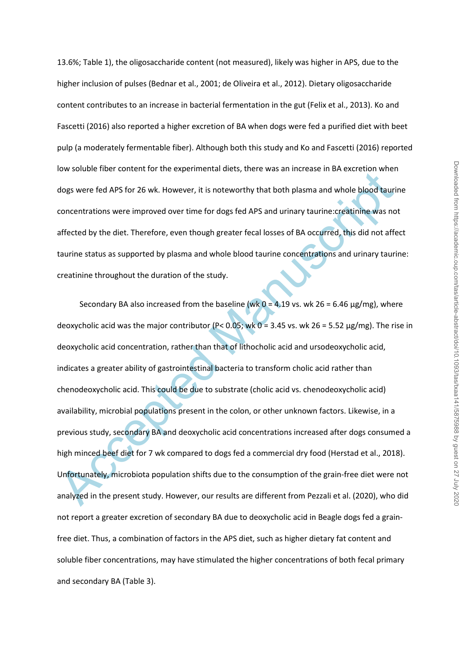13.6%; Table 1), the oligosaccharide content (not measured), likely was higher in APS, due to the higher inclusion of pulses (Bednar et al., 2001; de Oliveira et al., 2012). Dietary oligosaccharide content contributes to an increase in bacterial fermentation in the gut (Felix et al., 2013). Ko and Fascetti (2016) also reported a higher excretion of BA when dogs were fed a purified diet with beet pulp (a moderately fermentable fiber). Although both this study and Ko and Fascetti (2016) reported low soluble fiber content for the experimental diets, there was an increase in BA excretion when dogs were fed APS for 26 wk. However, it is noteworthy that both plasma and whole blood taurine concentrations were improved over time for dogs fed APS and urinary taurine:creatinine was not affected by the diet. Therefore, even though greater fecal losses of BA occurred, this did not affect taurine status as supported by plasma and whole blood taurine concentrations and urinary taurine: creatinine throughout the duration of the study.

For solution their content for the experimental decay, there was an inclease in be exacted with<br>a dogs were fed APS for 26 wk. However, it is noteworthy that both plasma and whole blood tauri<br>concentrations were improved Secondary BA also increased from the baseline (wk  $0 = 4.19$  vs. wk 26 = 6.46  $\mu$ g/mg), where deoxycholic acid was the major contributor (P< 0.05; wk 0 = 3.45 vs. wk 26 = 5.52 µg/mg). The rise in deoxycholic acid concentration, rather than that of lithocholic acid and ursodeoxycholic acid, indicates a greater ability of gastrointestinal bacteria to transform cholic acid rather than chenodeoxycholic acid. This could be due to substrate (cholic acid vs. chenodeoxycholic acid) availability, microbial populations present in the colon, or other unknown factors. Likewise, in a previous study, secondary BA and deoxycholic acid concentrations increased after dogs consumed a high minced beef diet for 7 wk compared to dogs fed a commercial dry food (Herstad et al., 2018). Unfortunately, microbiota population shifts due to the consumption of the grain-free diet were not analyzed in the present study. However, our results are different from Pezzali et al. (2020), who did not report a greater excretion of secondary BA due to deoxycholic acid in Beagle dogs fed a grainfree diet. Thus, a combination of factors in the APS diet, such as higher dietary fat content and soluble fiber concentrations, may have stimulated the higher concentrations of both fecal primary and secondary BA (Table 3).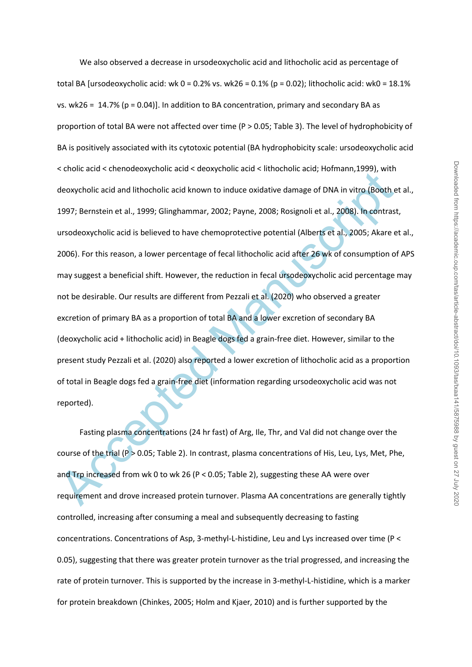ections and echi-indetextylene and echi-indetextylene and echi-indetextylene and echi-indetextylene data diffeored Manuscripts (Boothern develops). Bernate in et al., 1999; Glinghammar, 2002; Payne, 2008; Rosignoli et al., We also observed a decrease in ursodeoxycholic acid and lithocholic acid as percentage of total BA [ursodeoxycholic acid: wk  $0 = 0.2$ % vs. wk26 = 0.1% (p = 0.02); lithocholic acid: wk0 = 18.1% vs. wk26 =  $14.7\%$  (p = 0.04)]. In addition to BA concentration, primary and secondary BA as proportion of total BA were not affected over time (P > 0.05; Table 3). The level of hydrophobicity of BA is positively associated with its cytotoxic potential (BA hydrophobicity scale: ursodeoxycholic acid < cholic acid < chenodeoxycholic acid < deoxycholic acid < lithocholic acid; Hofmann,1999), with deoxycholic acid and lithocholic acid known to induce oxidative damage of DNA in vitro (Booth et al., 1997; Bernstein et al., 1999; Glinghammar, 2002; Payne, 2008; Rosignoli et al., 2008). In contrast, ursodeoxycholic acid is believed to have chemoprotective potential (Alberts et al., 2005; Akare et al., 2006). For this reason, a lower percentage of fecal lithocholic acid after 26 wk of consumption of APS may suggest a beneficial shift. However, the reduction in fecal ursodeoxycholic acid percentage may not be desirable. Our results are different from Pezzali et al. (2020) who observed a greater excretion of primary BA as a proportion of total BA and a lower excretion of secondary BA (deoxycholic acid + lithocholic acid) in Beagle dogs fed a grain-free diet. However, similar to the present study Pezzali et al. (2020) also reported a lower excretion of lithocholic acid as a proportion of total in Beagle dogs fed a grain-free diet (information regarding ursodeoxycholic acid was not reported).

Fasting plasma concentrations (24 hr fast) of Arg, Ile, Thr, and Val did not change over the course of the trial (P > 0.05; Table 2). In contrast, plasma concentrations of His, Leu, Lys, Met, Phe, and Trp increased from wk 0 to wk 26 (P < 0.05; Table 2), suggesting these AA were over requirement and drove increased protein turnover. Plasma AA concentrations are generally tightly controlled, increasing after consuming a meal and subsequently decreasing to fasting concentrations. Concentrations of Asp, 3-methyl-L-histidine, Leu and Lys increased over time (P < 0.05), suggesting that there was greater protein turnover as the trial progressed, and increasing the rate of protein turnover. This is supported by the increase in 3-methyl-L-histidine, which is a marker for protein breakdown (Chinkes, 2005; Holm and Kjaer, 2010) and is further supported by the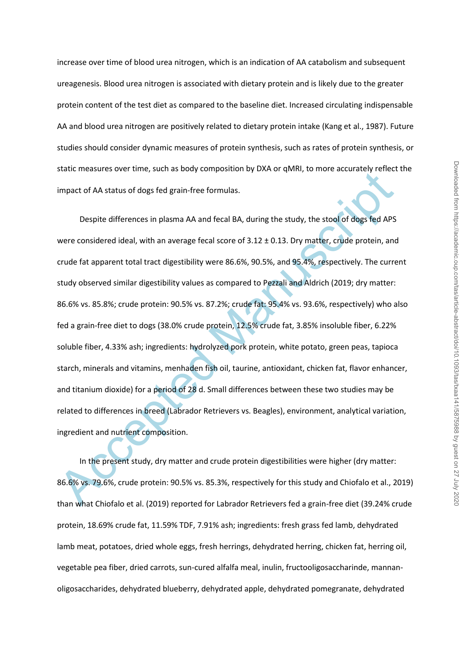increase over time of blood urea nitrogen, which is an indication of AA catabolism and subsequent ureagenesis. Blood urea nitrogen is associated with dietary protein and is likely due to the greater protein content of the test diet as compared to the baseline diet. Increased circulating indispensable AA and blood urea nitrogen are positively related to dietary protein intake (Kang et al., 1987). Future studies should consider dynamic measures of protein synthesis, such as rates of protein synthesis, or static measures over time, such as body composition by DXA or qMRI, to more accurately reflect the impact of AA status of dogs fed grain-free formulas.

state. Incessares over time, such as soory composition by DAS of quite, to hold electrately remet.<br>
impact of AA status of dogs fed grain-free formulas.<br>
Despite differences in plasma AA and fecal BA, during the study, the Despite differences in plasma AA and fecal BA, during the study, the stool of dogs fed APS were considered ideal, with an average fecal score of 3.12 ± 0.13. Dry matter, crude protein, and crude fat apparent total tract digestibility were 86.6%, 90.5%, and 95.4%, respectively. The current study observed similar digestibility values as compared to Pezzali and Aldrich (2019; dry matter: 86.6% vs. 85.8%; crude protein: 90.5% vs. 87.2%; crude fat: 95.4% vs. 93.6%, respectively) who also fed a grain-free diet to dogs (38.0% crude protein, 12.5% crude fat, 3.85% insoluble fiber, 6.22% soluble fiber, 4.33% ash; ingredients: hydrolyzed pork protein, white potato, green peas, tapioca starch, minerals and vitamins, menhaden fish oil, taurine, antioxidant, chicken fat, flavor enhancer, and titanium dioxide) for a period of 28 d. Small differences between these two studies may be related to differences in breed (Labrador Retrievers vs. Beagles), environment, analytical variation, ingredient and nutrient composition.

In the present study, dry matter and crude protein digestibilities were higher (dry matter: 86.6% vs. 79.6%, crude protein: 90.5% vs. 85.3%, respectively for this study and Chiofalo et al., 2019) than what Chiofalo et al. (2019) reported for Labrador Retrievers fed a grain-free diet (39.24% crude protein, 18.69% crude fat, 11.59% TDF, 7.91% ash; ingredients: fresh grass fed lamb, dehydrated lamb meat, potatoes, dried whole eggs, fresh herrings, dehydrated herring, chicken fat, herring oil, vegetable pea fiber, dried carrots, sun-cured alfalfa meal, inulin, fructooligosaccharinde, mannanoligosaccharides, dehydrated blueberry, dehydrated apple, dehydrated pomegranate, dehydrated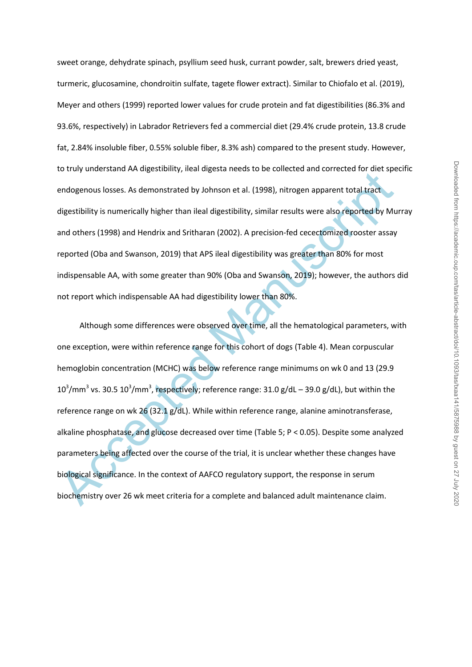sweet orange, dehydrate spinach, psyllium seed husk, currant powder, salt, brewers dried yeast, turmeric, glucosamine, chondroitin sulfate, tagete flower extract). Similar to Chiofalo et al. (2019), Meyer and others (1999) reported lower values for crude protein and fat digestibilities (86.3% and 93.6%, respectively) in Labrador Retrievers fed a commercial diet (29.4% crude protein, 13.8 crude fat, 2.84% insoluble fiber, 0.55% soluble fiber, 8.3% ash) compared to the present study. However, to truly understand AA digestibility, ileal digesta needs to be collected and corrected for diet specific endogenous losses. As demonstrated by Johnson et al. (1998), nitrogen apparent total tract digestibility is numerically higher than ileal digestibility, similar results were also reported by Murray and others (1998) and Hendrix and Sritharan (2002). A precision-fed cecectomized rooster assay reported (Oba and Swanson, 2019) that APS ileal digestibility was greater than 80% for most indispensable AA, with some greater than 90% (Oba and Swanson, 2019); however, the authors did not report which indispensable AA had digestibility lower than 80%.

to they understand AR digestiomty, mean digeat meets to be concetted and confected for one is spendogenous losses. As demonstrated by Johnson et al. (1998), nitrogen apparent total tract<br>digestibility is numerically highe Although some differences were observed over time, all the hematological parameters, with one exception, were within reference range for this cohort of dogs (Table 4). Mean corpuscular hemoglobin concentration (MCHC) was below reference range minimums on wk 0 and 13 (29.9  $10^3$ /mm<sup>3</sup> vs. 30.5  $10^3$ /mm<sup>3</sup>, respectively; reference range: 31.0 g/dL – 39.0 g/dL), but within the reference range on wk 26 (32.1 g/dL). While within reference range, alanine aminotransferase, alkaline phosphatase, and glucose decreased over time (Table 5; P < 0.05). Despite some analyzed parameters being affected over the course of the trial, it is unclear whether these changes have biological significance. In the context of AAFCO regulatory support, the response in serum biochemistry over 26 wk meet criteria for a complete and balanced adult maintenance claim.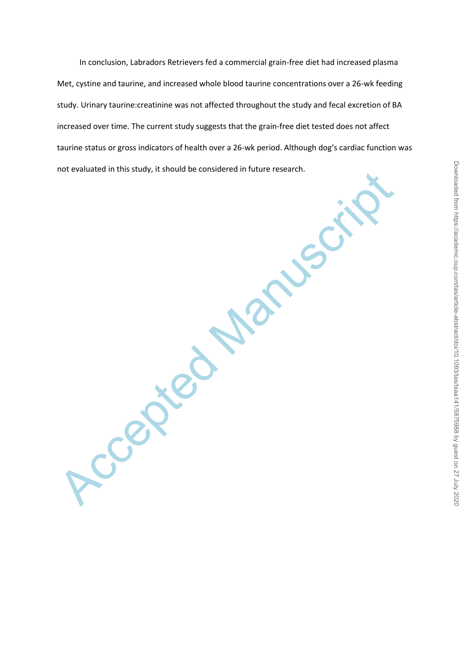In conclusion, Labradors Retrievers fed a commercial grain-free diet had increased plasma Met, cystine and taurine, and increased whole blood taurine concentrations over a 26-wk feeding study. Urinary taurine:creatinine was not affected throughout the study and fecal excretion of BA increased over time. The current study suggests that the grain-free diet tested does not affect taurine status or gross indicators of health over a 26-wk period. Although dog's cardiac function was not evaluated in this study, it should be considered in future research.

**Propiece Manuscript**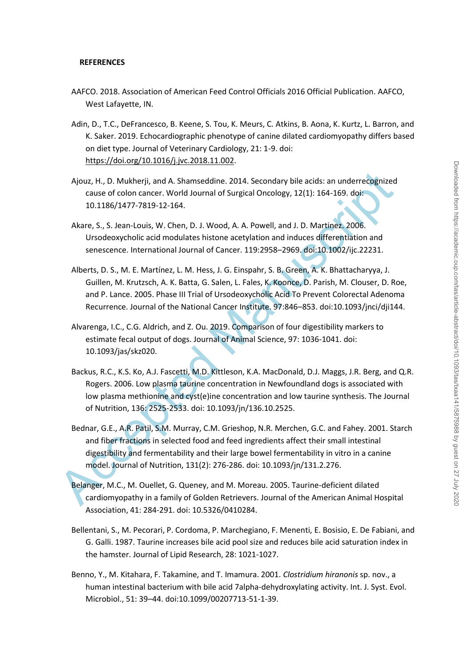### **REFERENCES**

- AAFCO. 2018. Association of American Feed Control Officials 2016 Official Publication. AAFCO, West Lafayette, IN.
- Adin, D., T.C., DeFrancesco, B. Keene, S. Tou, K. Meurs, C. Atkins, B. Aona, K. Kurtz, L. Barron, and K. Saker. 2019. Echocardiographic phenotype of canine dilated cardiomyopathy differs based on diet type. Journal of Veterinary Cardiology, 21: 1-9. doi: [https://doi.org/10.1016/j.jvc.2018.11.002.](https://doi.org/10.1016/j.jvc.2018.11.002)
- Ajouz, H., D. Mukherji, and A. Shamseddine. 2014. Secondary bile acids: an underrecognized cause of colon cancer. World Journal of Surgical Oncology, 12(1): 164-169. doi: 10.1186/1477-7819-12-164.
- Akare, S., S. Jean-Louis, W. Chen, D. J. Wood, A. A. Powell, and J. D. Martinez. 2006. Ursodeoxycholic acid modulates histone acetylation and induces differentiation and senescence. International Journal of Cancer. 119:2958–2969. doi:10.1002/ijc.22231.
- Alberts, D. S., M. E. Martínez, L. M. Hess, J. G. Einspahr, S. B. Green, A. K. Bhattacharyya, J. Guillen, M. Krutzsch, A. K. Batta, G. Salen, L. Fales, K. Koonce, D. Parish, M. Clouser, D. Roe, and P. Lance. 2005. Phase III Trial of Ursodeoxycholic Acid To Prevent Colorectal Adenoma Recurrence. Journal of the National Cancer Institute. 97:846–853. doi:10.1093/jnci/dji144.
- Alvarenga, I.C., C.G. Aldrich, and Z. Ou. 2019. Comparison of four digestibility markers to estimate fecal output of dogs. Journal of Animal Science, 97: 1036-1041. doi: 10.1093/jas/skz020.
- Backus, R.C., K.S. Ko, A.J. Fascetti, M.D. Kittleson, K.A. MacDonald, D.J. Maggs, J.R. Berg, and Q.R. Rogers. 2006. Low plasma taurine concentration in Newfoundland dogs is associated with low plasma methionine and cyst(e)ine concentration and low taurine synthesis. The Journal of Nutrition, 136: 2525-2533. doi: 10.1093/jn/136.10.2525.
- Ajouz, H., D. Mukherji, and A. Shamseddine. 2014. Secondary bile acids: an underrecognized<br>cause of colon cancer. World Journal of Surgical Oncology, 12(1): 164-169. doi:<br>10.1186/1477-7819-12-164.<br>Akre, S., S., M. enen, D Bednar, G.E., A.R. Patil, S.M. Murray, C.M. Grieshop, N.R. Merchen, G.C. and Fahey. 2001. Starch and fiber fractions in selected food and feed ingredients affect their small intestinal digestibility and fermentability and their large bowel fermentability in vitro in a canine model. Journal of Nutrition, 131(2): 276-286. doi: 10.1093/jn/131.2.276.
	- Belanger, M.C., M. Ouellet, G. Queney, and M. Moreau. 2005. Taurine-deficient dilated cardiomyopathy in a family of Golden Retrievers. Journal of the American Animal Hospital Association, 41: 284-291. doi: 10.5326/0410284.
	- Bellentani, S., M. Pecorari, P. Cordoma, P. Marchegiano, F. Menenti, E. Bosisio, E. De Fabiani, and G. Galli. 1987. Taurine increases bile acid pool size and reduces bile acid saturation index in the hamster. Journal of Lipid Research, 28: 1021-1027.
	- Benno, Y., M. Kitahara, F. Takamine, and T. Imamura. 2001. *Clostridium hiranonis* sp. nov., a human intestinal bacterium with bile acid 7alpha-dehydroxylating activity. Int. J. Syst. Evol. Microbiol., 51: 39–44. doi:10.1099/00207713-51-1-39.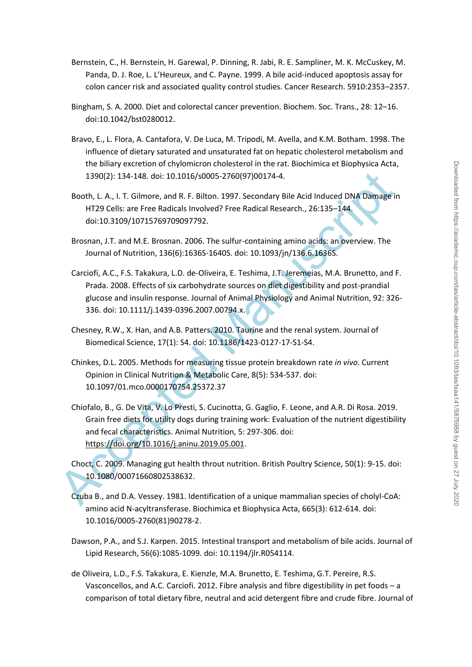- Bernstein, C., H. Bernstein, H. Garewal, P. Dinning, R. Jabi, R. E. Sampliner, M. K. McCuskey, M. Panda, D. J. Roe, L. L'Heureux, and C. Payne. 1999. A bile acid-induced apoptosis assay for colon cancer risk and associated quality control studies. Cancer Research. 5910:2353–2357.
- Bingham, S. A. 2000. Diet and colorectal cancer prevention. Biochem. Soc. Trans., 28: 12–16. doi:10.1042/bst0280012.
- Bravo, E., L. Flora, A. Cantafora, V. De Luca, M. Tripodi, M. Avella, and K.M. Botham. 1998. The influence of dietary saturated and unsaturated fat on hepatic cholesterol metabolism and the biliary excretion of chylomicron cholesterol in the rat. Biochimica et Biophysica Acta, 1390(2): 134-148. doi: 10.1016/s0005-2760(97)00174-4.
- Booth, L. A., I. T. Gilmore, and R. F. Bilton. 1997. Secondary Bile Acid Induced DNA Damage in HT29 Cells: are Free Radicals Involved? Free Radical Research., 26:135–144. doi:10.3109/10715769709097792.
- Brosnan, J.T. and M.E. Brosnan. 2006. The sulfur-containing amino acids: an overview. The Journal of Nutrition, 136(6):1636S-1640S. doi: 10.1093/jn/136.6.1636S.
- Carciofi, A.C., F.S. Takakura, L.D. de-Oliveira, E. Teshima, J.T. Jeremeias, M.A. Brunetto, and F. Prada. 2008. Effects of six carbohydrate sources on diet digestibility and post-prandial glucose and insulin response. Journal of Animal Physiology and Animal Nutrition, 92: 326- 336. doi: 10.1111/j.1439-0396.2007.00794.x.
- Chesney, R.W., X. Han, and A.B. Patters. 2010. Taurine and the renal system. Journal of Biomedical Science, 17(1): S4. doi: 10.1186/1423-0127-17-S1-S4.
- Chinkes, D.L. 2005. Methods for measuring tissue protein breakdown rate *in vivo*. Current Opinion in Clinical Nutrition & Metabolic Care, 8(5): 534-537. doi: 10.1097/01.mco.0000170754.25372.37
- 1390(2): 134-148. doi: 10.1016/s0005-2760(97)00174-4.<br>
Booth, L. A., I. T. Gilmore, and R. F. Bilton. 1997. Secondary Bile Acid Induced DNA Damage in<br>
HT29 Cells: are Free Radicals Involved? Free Radical Research., 26:135 Chiofalo, B., G. De Vita, V. Lo Presti, S. Cucinotta, G. Gaglio, F. Leone, and A.R. Di Rosa. 2019. Grain free diets for utility dogs during training work: Evaluation of the nutrient digestibility and fecal characteristics. Animal Nutrition, 5: 297-306. doi: https://doi.org/10.1016/j.aninu.2019.05.001.
	- Choct, C. 2009. Managing gut health throut nutrition. British Poultry Science, 50(1): 9-15. doi: 10.1080/00071660802538632.
	- Czuba B., and D.A. Vessey. 1981. Identification of a unique mammalian species of cholyl-CoA: amino acid N-acyltransferase. Biochimica et Biophysica Acta, 665(3): 612-614. doi: 10.1016/0005-2760(81)90278-2.
	- Dawson, P.A., and S.J. Karpen. 2015. Intestinal transport and metabolism of bile acids. Journal of Lipid Research, 56(6):1085-1099. doi: 10.1194/jlr.R054114.
	- de Oliveira, L.D., F.S. Takakura, E. Kienzle, M.A. Brunetto, E. Teshima, G.T. Pereire, R.S. Vasconcellos, and A.C. Carciofi. 2012. Fibre analysis and fibre digestibility in pet foods – a comparison of total dietary fibre, neutral and acid detergent fibre and crude fibre. Journal of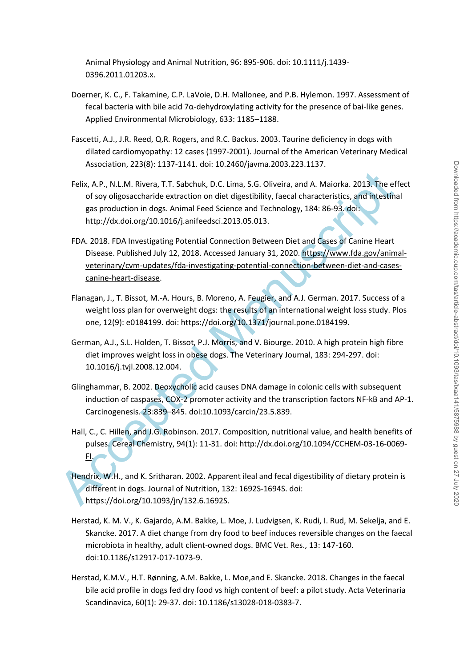Animal Physiology and Animal Nutrition, 96: 895-906. doi: 10.1111/j.1439- 0396.2011.01203.x.

- Doerner, K. C., F. Takamine, C.P. LaVoie, D.H. Mallonee, and P.B. Hylemon. 1997. Assessment of fecal bacteria with bile acid 7α-dehydroxylating activity for the presence of bai-like genes. Applied Environmental Microbiology, 633: 1185–1188.
- Fascetti, A.J., J.R. Reed, Q.R. Rogers, and R.C. Backus. 2003. Taurine deficiency in dogs with dilated cardiomyopathy: 12 cases (1997-2001). Journal of the American Veterinary Medical Association, 223(8): 1137-1141. doi: 10.2460/javma.2003.223.1137.
- Felix, A.P., N.L.M. Rivera, T.T. Sabchuk, D.C. Lima, S.G. Oliveira, and A. Maiorka. 2013. The effect of soy oligosaccharide extraction on diet digestibility, faecal characteristics, and intestinal gas production in dogs. Animal Feed Science and Technology, 184: 86-93. doi: http://dx.doi.org/10.1016/j.anifeedsci.2013.05.013.
- Felix, A.P., N.L.M. Rivera, T.T. Sabchuk, D.C. Lima, S.G. Oliveira, and A. Maiorka. 2013. The efforty oligosaccharide extraction on diet digestibility, faccal characteristics, and intesting<br>as production in dogs. Animal F FDA. 2018. FDA Investigating Potential Connection Between Diet and Cases of Canine Heart Disease. Published July 12, 2018. Accessed January 31, 2020. https://www.fda.gov/animalveterinary/cvm-updates/fda-investigating-potential-connection-between-diet-and-casescanine-heart-disease.
	- Flanagan, J., T. Bissot, M.-A. Hours, B. Moreno, A. Feugier, and A.J. German. 2017. Success of a weight loss plan for overweight dogs: the results of an international weight loss study. Plos one, 12(9): e0184199. doi: https://doi.org/10.1371/journal.pone.0184199.
	- German, A.J., S.L. Holden, T. Bissot, P.J. Morris, and V. Biourge. 2010. A high protein high fibre diet improves weight loss in obese dogs. The Veterinary Journal, 183: 294-297. doi: 10.1016/j.tvjl.2008.12.004.
	- Glinghammar, B. 2002. Deoxycholic acid causes DNA damage in colonic cells with subsequent induction of caspases, COX-2 promoter activity and the transcription factors NF-kB and AP-1. Carcinogenesis. 23:839–845. doi:10.1093/carcin/23.5.839.
	- Hall, C., C. Hillen, and J.G. Robinson. 2017. Composition, nutritional value, and health benefits of pulses. Cereal Chemistry, 94(1): 11-31. doi: http://dx.doi.org/10.1094/CCHEM-03-16-0069- FI.
	- Hendrix, W.H., and K. Sritharan. 2002. Apparent ileal and fecal digestibility of dietary protein is different in dogs. Journal of Nutrition, 132: 1692S-1694S. doi: https://doi.org/10.1093/jn/132.6.1692S.
	- Herstad, K. M. V., K. Gajardo, A.M. Bakke, L. Moe, J. Ludvigsen, K. Rudi, I. Rud, M. Sekelja, and E. Skancke. 2017. A diet change from dry food to beef induces reversible changes on the faecal microbiota in healthy, adult client-owned dogs. BMC Vet. Res., 13: 147-160. doi:10.1186/s12917-017-1073-9.
	- Herstad, K.M.V., H.T. Rønning, A.M. Bakke, L. Moe,and E. Skancke. 2018. Changes in the faecal bile acid profile in dogs fed dry food vs high content of beef: a pilot study. Acta Veterinaria Scandinavica, 60(1): 29-37. doi: 10.1186/s13028-018-0383-7.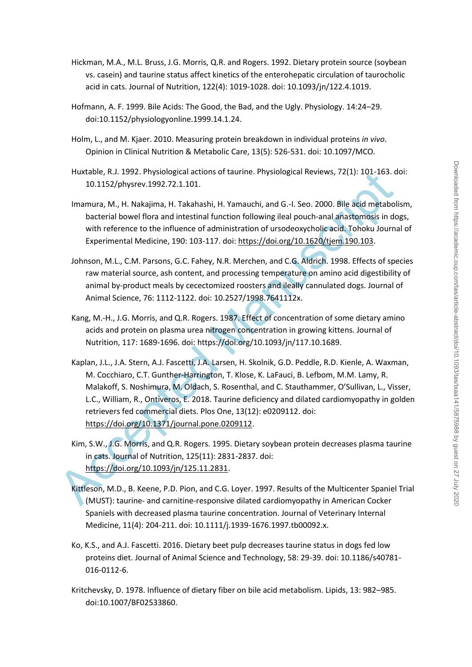- Hickman, M.A., M.L. Bruss, J.G. Morris, Q.R. and Rogers. 1992. Dietary protein source (soybean vs. casein) and taurine status affect kinetics of the enterohepatic circulation of taurocholic acid in cats. Journal of Nutrition, 122(4): 1019-1028. doi: 10.1093/jn/122.4.1019.
- Hofmann, A. F. 1999. Bile Acids: The Good, the Bad, and the Ugly. Physiology. 14:24–29. doi:10.1152/physiologyonline.1999.14.1.24.
- Holm, L., and M. Kjaer. 2010. Measuring protein breakdown in individual proteins *in vivo*. Opinion in Clinical Nutrition & Metabolic Care, 13(5): 526-531. doi: 10.1097/MCO.
- Huxtable, R.J. 1992. Physiological actions of taurine. Physiological Reviews, 72(1): 101-163. doi: 10.1152/physrev.1992.72.1.101.
- Imamura, M., H. Nakajima, H. Takahashi, H. Yamauchi, and G.-I. Seo. 2000. Bile acid metabolism, bacterial bowel flora and intestinal function following ileal pouch-anal anastomosis in dogs, with reference to the influence of administration of ursodeoxycholic acid. Tohoku Journal of Experimental Medicine, 190: 103-117. doi: https://doi.org/10.1620/tjem.190.103.
- Johnson, M.L., C.M. Parsons, G.C. Fahey, N.R. Merchen, and C.G. Aldrich. 1998. Effects of species raw material source, ash content, and processing temperature on amino acid digestibility of animal by-product meals by cecectomized roosters and ileally cannulated dogs. Journal of Animal Science, 76: 1112-1122. doi: 10.2527/1998.7641112x.
- Kang, M.-H., J.G. Morris, and Q.R. Rogers. 1987. Effect of concentration of some dietary amino acids and protein on plasma urea nitrogen concentration in growing kittens. Journal of Nutrition, 117: 1689-1696. doi: https://doi.org/10.1093/jn/117.10.1689.
- Huxtable, K.J. 1992. Physological actions of taurine. Physiological Reviews, 72(1): 100-163.<br>
10.1152/physrev.1992.27.1.101.<br>
Imamura, M., H. Nakajima, H. Takahashi, H. Yamauchi, and G.-I. Seo. 2000. Bile add metabol<br>
bact Kaplan, J.L., J.A. Stern, A.J. Fascetti, J.A. Larsen, H. Skolnik, G.D. Peddle, R.D. Kienle, A. Waxman, M. Cocchiaro, C.T. Gunther-Harrington, T. Klose, K. LaFauci, B. Lefbom, M.M. Lamy, R. Malakoff, S. Noshimura, M. Oldach, S. Rosenthal, and C. Stauthammer, O'Sullivan, L., Visser, L.C., William, R., Ontiveros, E. 2018. Taurine deficiency and dilated cardiomyopathy in golden retrievers fed commercial diets. Plos One, 13(12): e0209112. doi: https://doi.org/10.1371/journal.pone.0209112.
	- Kim, S.W., J.G. Morris, and Q.R. Rogers. 1995. Dietary soybean protein decreases plasma taurine in cats. Journal of Nutrition, 125(11): 2831-2837. doi: https://doi.org/10.1093/jn/125.11.2831.
	- Kittleson, M.D., B. Keene, P.D. Pion, and C.G. Loyer. 1997. Results of the Multicenter Spaniel Trial (MUST): taurine- and carnitine-responsive dilated cardiomyopathy in American Cocker Spaniels with decreased plasma taurine concentration. Journal of Veterinary Internal Medicine, 11(4): 204-211. doi: 10.1111/j.1939-1676.1997.tb00092.x.
	- Ko, K.S., and A.J. Fascetti. 2016. Dietary beet pulp decreases taurine status in dogs fed low proteins diet. Journal of Animal Science and Technology, 58: 29-39. doi: 10.1186/s40781- 016-0112-6.
	- Kritchevsky, D. 1978. Influence of dietary fiber on bile acid metabolism. Lipids, 13: 982–985. doi:10.1007/BF02533860.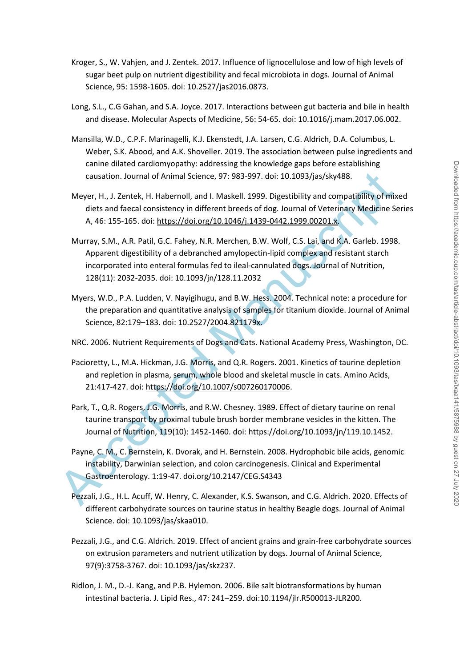- Kroger, S., W. Vahjen, and J. Zentek. 2017. Influence of lignocellulose and low of high levels of sugar beet pulp on nutrient digestibility and fecal microbiota in dogs. Journal of Animal Science, 95: 1598-1605. doi: 10.2527/jas2016.0873.
- Long, S.L., C.G Gahan, and S.A. Joyce. 2017. Interactions between gut bacteria and bile in health and disease. Molecular Aspects of Medicine, 56: 54-65. doi: 10.1016/j.mam.2017.06.002.
- Mansilla, W.D., C.P.F. Marinagelli, K.J. Ekenstedt, J.A. Larsen, C.G. Aldrich, D.A. Columbus, L. Weber, S.K. Abood, and A.K. Shoveller. 2019. The association between pulse ingredients and canine dilated cardiomyopathy: addressing the knowledge gaps before establishing causation. Journal of Animal Science, 97: 983-997. doi: 10.1093/jas/sky488.
- Meyer, H., J. Zentek, H. Habernoll, and I. Maskell. 1999. Digestibility and compatibility of mixed diets and faecal consistency in different breeds of dog. Journal of Veterinary Medicine Series A, 46: 155-165. doi: https://doi.org/10.1046/j.1439-0442.1999.00201.x.
- causation. Journal of Animal Science, 97: 983-997. doi: 10.1093/jas/sky488.<br>
Meyer, H., J. Zentek, H. Habernoll, and I. Maskell. 1999. Digestibility and compatibility of mix<br>
diets and faecal consistency in different breed Murray, S.M., A.R. Patil, G.C. Fahey, N.R. Merchen, B.W. Wolf, C.S. Lai, and K.A. Garleb. 1998. Apparent digestibility of a debranched amylopectin-lipid complex and resistant starch incorporated into enteral formulas fed to ileal-cannulated dogs. Journal of Nutrition, 128(11): 2032-2035. doi: 10.1093/jn/128.11.2032
	- Myers, W.D., P.A. Ludden, V. Nayigihugu, and B.W. Hess. 2004. Technical note: a procedure for the preparation and quantitative analysis of samples for titanium dioxide. Journal of Animal Science, 82:179–183. doi: 10.2527/2004.821179x.
	- NRC. 2006. Nutrient Requirements of Dogs and Cats. National Academy Press, Washington, DC.
	- Pacioretty, L., M.A. Hickman, J.G. Morris, and Q.R. Rogers. 2001. Kinetics of taurine depletion and repletion in plasma, serum, whole blood and skeletal muscle in cats. Amino Acids, 21:417-427. doi: https://doi.org/10.1007/s007260170006.
	- Park, T., Q.R. Rogers, J.G. Morris, and R.W. Chesney. 1989. Effect of dietary taurine on renal taurine transport by proximal tubule brush border membrane vesicles in the kitten. The Journal of Nutrition, 119(10): 1452-1460. doi: https://doi.org/10.1093/jn/119.10.1452.
	- Payne, C. M., C. Bernstein, K. Dvorak, and H. Bernstein. 2008. Hydrophobic bile acids, genomic instability, Darwinian selection, and colon carcinogenesis. Clinical and Experimental Gastroenterology. 1:19-47. doi.org/10.2147/CEG.S4343
	- Pezzali, J.G., H.L. Acuff, W. Henry, C. Alexander, K.S. Swanson, and C.G. Aldrich. 2020. Effects of different carbohydrate sources on taurine status in healthy Beagle dogs. Journal of Animal Science. doi: 10.1093/jas/skaa010.
	- Pezzali, J.G., and C.G. Aldrich. 2019. Effect of ancient grains and grain-free carbohydrate sources on extrusion parameters and nutrient utilization by dogs. Journal of Animal Science, 97(9):3758-3767. doi: 10.1093/jas/skz237.
	- Ridlon, J. M., D.-J. Kang, and P.B. Hylemon. 2006. Bile salt biotransformations by human intestinal bacteria. J. Lipid Res., 47: 241–259. doi:10.1194/jlr.R500013-JLR200.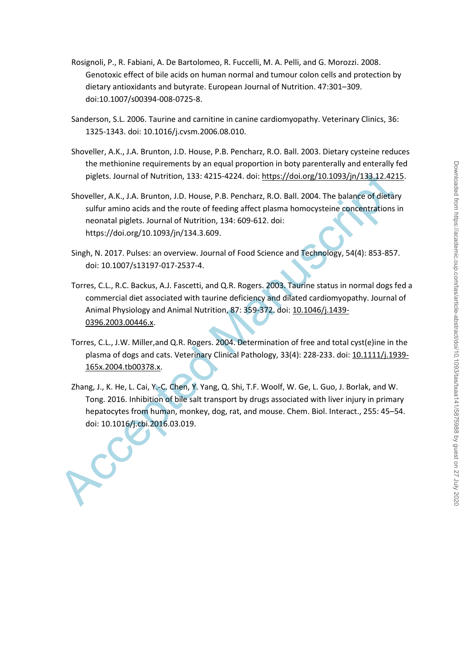- Rosignoli, P., R. Fabiani, A. De Bartolomeo, R. Fuccelli, M. A. Pelli, and G. Morozzi. 2008. Genotoxic effect of bile acids on human normal and tumour colon cells and protection by dietary antioxidants and butyrate. European Journal of Nutrition. 47:301–309. doi:10.1007/s00394-008-0725-8.
- Sanderson, S.L. 2006. Taurine and carnitine in canine cardiomyopathy. Veterinary Clinics, 36: 1325-1343. doi: 10.1016/j.cvsm.2006.08.010.
- Shoveller, A.K., J.A. Brunton, J.D. House, P.B. Pencharz, R.O. Ball. 2003. Dietary cysteine reduces the methionine requirements by an equal proportion in boty parenterally and enterally fed piglets. Journal of Nutrition, 133: 4215-4224. doi: https://doi.org/10.1093/jn/133.12.4215.
- Shoveller, A.K., J.A. Brunton, J.D. House, P.B. Pencharz, R.O. Ball. 2004. The balance of dietary sulfur amino acids and the route of feeding affect plasma homocysteine concentrations in neonatal piglets. Journal of Nutrition, 134: 609-612. doi: https://doi.org/10.1093/jn/134.3.609.
- Singh, N. 2017. Pulses: an overview. Journal of Food Science and Technology, 54(4): 853-857. doi: 10.1007/s13197-017-2537-4.
- pigle[t](https://doi.org/10.1111/j.1939-165x.2004.tb00378.x)s. Jour[n](https://doi.org/10.1046/j.1439-0396.2003.00446.x)al of Nutrition, 133: 4215-4224. doi: <u>https://doi.org/10.1093/in/133.12421</u><br>Shoveller, A.K., J.A. Brunton, J.D. House, P.B. Pencharz, R.O. Ball. 2004. The balance of dietar<br>sulfur amino acids and the route o Torres, C.L., R.C. Backus, A.J. Fascetti, and Q.R. Rogers. 2003. Taurine status in normal dogs fed a commercial diet associated with taurine deficiency and dilated cardiomyopathy. Journal of Animal Physiology and Animal Nutrition, 87: 359-372. doi: 10.1046/j.1439- 0396.2003.00446.x.
	- Torres, C.L., J.W. Miller,and Q.R. Rogers. 2004. Determination of free and total cyst(e)ine in the plasma of dogs and cats. Veterinary Clinical Pathology, 33(4): 228-233. doi: 10.1111/j.1939- 165x.2004.tb00378.x.
	- Zhang, J., K. He, L. Cai, Y.-C. Chen, Y. Yang, Q. Shi, T.F. Woolf, W. Ge, L. Guo, J. Borlak, and W. Tong. 2016. Inhibition of bile salt transport by drugs associated with liver injury in primary hepatocytes from human, monkey, dog, rat, and mouse. Chem. Biol. Interact., 255: 45–54. doi: 10.1016/j.cbi.2016.03.019.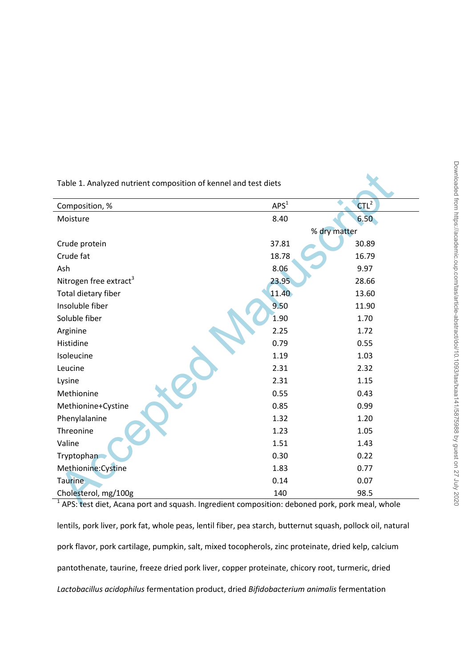| Table 1. Analyzed nutrient composition of kennel and test diets                               |                  |                  |  |  |  |
|-----------------------------------------------------------------------------------------------|------------------|------------------|--|--|--|
| Composition, %                                                                                | APS <sup>1</sup> | CTL <sup>2</sup> |  |  |  |
| Moisture                                                                                      | 8.40             | 6.50             |  |  |  |
|                                                                                               |                  | % dry matter     |  |  |  |
| Crude protein                                                                                 | 37.81            | 30.89            |  |  |  |
| Crude fat                                                                                     | 18.78            | 16.79            |  |  |  |
| Ash                                                                                           | 8.06             | 9.97             |  |  |  |
| Nitrogen free extract <sup>3</sup>                                                            | 23.95            | 28.66            |  |  |  |
| Total dietary fiber                                                                           | 11.40            | 13.60            |  |  |  |
| Insoluble fiber                                                                               | 9.50             | 11.90            |  |  |  |
| Soluble fiber                                                                                 | 1.90             | 1.70             |  |  |  |
| Arginine                                                                                      | 2.25             | 1.72             |  |  |  |
| Histidine                                                                                     | 0.79             | 0.55             |  |  |  |
| Isoleucine                                                                                    | 1.19             | 1.03             |  |  |  |
| Leucine                                                                                       | 2.31             | 2.32             |  |  |  |
| Lysine                                                                                        | 2.31             | 1.15             |  |  |  |
| Methionine                                                                                    | 0.55             | 0.43             |  |  |  |
| Methionine+Cystine                                                                            | 0.85             | 0.99             |  |  |  |
| Phenylalanine                                                                                 | 1.32             | 1.20             |  |  |  |
| Threonine                                                                                     | 1.23             | 1.05             |  |  |  |
| Valine                                                                                        | 1.51             | 1.43             |  |  |  |
| Tryptophan                                                                                    | 0.30             | 0.22             |  |  |  |
| Methionine: Cystine                                                                           | 1.83             | 0.77             |  |  |  |
| <b>Taurine</b>                                                                                | 0.14             | 0.07             |  |  |  |
| Cholesterol, mg/100g                                                                          | 140              | 98.5             |  |  |  |
| APS: test diet. Acana port and squash. Ingredient composition: deboned pork, pork meal, whole |                  |                  |  |  |  |

 $1$  APS: test diet, Acana port and squash. Ingredient composition: deboned pork, pork meal, whole lentils, pork liver, pork fat, whole peas, lentil fiber, pea starch, butternut squash, pollock oil, natural pork flavor, pork cartilage, pumpkin, salt, mixed tocopherols, zinc proteinate, dried kelp, calcium pantothenate, taurine, freeze dried pork liver, copper proteinate, chicory root, turmeric, dried *Lactobacillus acidophilus* fermentation product, dried *Bifidobacterium animalis* fermentation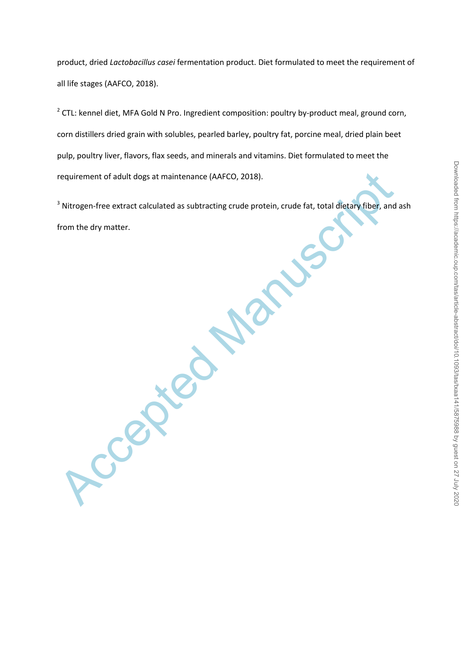product, dried *Lactobacillus casei* fermentation product. Diet formulated to meet the requirement of all life stages (AAFCO, 2018).

<sup>2</sup> CTL: kennel diet, MFA Gold N Pro. Ingredient composition: poultry by-product meal, ground corn, corn distillers dried grain with solubles, pearled barley, poultry fat, porcine meal, dried plain beet pulp, poultry liver, flavors, flax seeds, and minerals and vitamins. Diet formulated to meet the requirement of adult dogs at maintenance (AAFCO, 2018).

<sup>3</sup> Nitrogen-free extract calculated as subtracting crude protein, crude fat, total dietary fiber, and ash from the dry matter.

Accepted Manuscript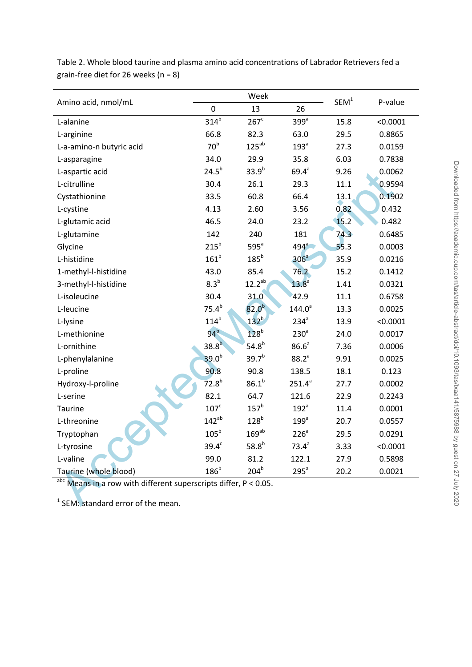| Table 2. Whole blood taurine and plasma amino acid concentrations of Labrador Retrievers fed a |
|------------------------------------------------------------------------------------------------|
| grain-free diet for 26 weeks (n = 8)                                                           |

|                                                                       |                   | Week              | SEM <sup>1</sup>  |      |          |  |  |
|-----------------------------------------------------------------------|-------------------|-------------------|-------------------|------|----------|--|--|
| Amino acid, nmol/mL                                                   | $\mathbf 0$       | 13                | 26                |      | P-value  |  |  |
| L-alanine                                                             | 314 <sup>b</sup>  | $267^c$           | $399^a$           | 15.8 | < 0.0001 |  |  |
| L-arginine                                                            | 66.8              | 82.3              | 63.0              | 29.5 | 0.8865   |  |  |
| L-a-amino-n butyric acid                                              | 70 <sup>b</sup>   | $125^{ab}$        | 193 <sup>a</sup>  | 27.3 | 0.0159   |  |  |
| L-asparagine                                                          | 34.0              | 29.9              | 35.8              | 6.03 | 0.7838   |  |  |
| L-aspartic acid                                                       | $24.5^{b}$        | $33.9^{b}$        | $69.4^{a}$        | 9.26 | 0.0062   |  |  |
| L-citrulline                                                          | 30.4              | 26.1              | 29.3              | 11.1 | 0.9594   |  |  |
| Cystathionine                                                         | 33.5              | 60.8              | 66.4              | 13.1 | 0.1902   |  |  |
| L-cystine                                                             | 4.13              | 2.60              | 3.56              | 0.82 | 0.432    |  |  |
| L-glutamic acid                                                       | 46.5              | 24.0              | 23.2              | 15.2 | 0.482    |  |  |
| L-glutamine                                                           | 142               | 240               | 181               | 74.3 | 0.6485   |  |  |
| Glycine                                                               | $215^b$           | $595^a$           | 494 <sup>3</sup>  | 55.3 | 0.0003   |  |  |
| L-histidine                                                           | 161 <sup>b</sup>  | $185^b$           | 306 <sup>a</sup>  | 35.9 | 0.0216   |  |  |
| 1-methyl-l-histidine                                                  | 43.0              | 85.4              | 76.2              | 15.2 | 0.1412   |  |  |
| 3-methyl-l-histidine                                                  | 8.3 <sup>b</sup>  | $12.2^{ab}$       | 13.8 <sup>a</sup> | 1.41 | 0.0321   |  |  |
| L-isoleucine                                                          | 30.4              | 31.0              | 42.9              | 11.1 | 0.6758   |  |  |
| L-leucine                                                             | $75.4^{b}$        | 82.0 <sup>b</sup> | $144.0^a$         | 13.3 | 0.0025   |  |  |
| L-lysine                                                              | 114 <sup>b</sup>  | $132^b$           | $234^a$           | 13.9 | < 0.0001 |  |  |
| L-methionine                                                          | $94^b$            | 128 <sup>b</sup>  | 230 <sup>a</sup>  | 24.0 | 0.0017   |  |  |
| L-ornithine                                                           | 38.8 <sup>b</sup> | $54.8^{b}$        | 86.6 <sup>a</sup> | 7.36 | 0.0006   |  |  |
| L-phenylalanine                                                       | 39.0 <sup>b</sup> | 39.7 <sup>b</sup> | $88.2^{a}$        | 9.91 | 0.0025   |  |  |
| L-proline                                                             | 90.8              | 90.8              | 138.5             | 18.1 | 0.123    |  |  |
| Hydroxy-l-proline                                                     | 72.8 <sup>b</sup> | $86.1^{b}$        | $251.4^{a}$       | 27.7 | 0.0002   |  |  |
| L-serine                                                              | 82.1              | 64.7              | 121.6             | 22.9 | 0.2243   |  |  |
| <b>Taurine</b>                                                        | $107^{\circ}$     | 157 <sup>b</sup>  | 192 <sup>a</sup>  | 11.4 | 0.0001   |  |  |
| L-threonine                                                           | $142^{ab}$        | 128 <sup>b</sup>  | 199 <sup>a</sup>  | 20.7 | 0.0557   |  |  |
| Tryptophan                                                            | 105 <sup>b</sup>  | $169^{ab}$        | 226 <sup>a</sup>  | 29.5 | 0.0291   |  |  |
| L-tyrosine                                                            | $39.4^\circ$      | $58.8^{b}$        | $73.4^a$          | 3.33 | < 0.0001 |  |  |
| L-valine                                                              | 99.0              | 81.2              | 122.1             | 27.9 | 0.5898   |  |  |
| Taurine (whole blood)                                                 | $186^b$           | 204 <sup>b</sup>  | 295 <sup>a</sup>  | 20.2 | 0.0021   |  |  |
| $_{abc}$ Means in a row with different superscripts differ, P < 0.05. |                   |                   |                   |      |          |  |  |
| <sup>1</sup> SEM: standard error of the mean.                         |                   |                   |                   |      |          |  |  |

 $<sup>1</sup>$  SEM: standard error of the mean.</sup>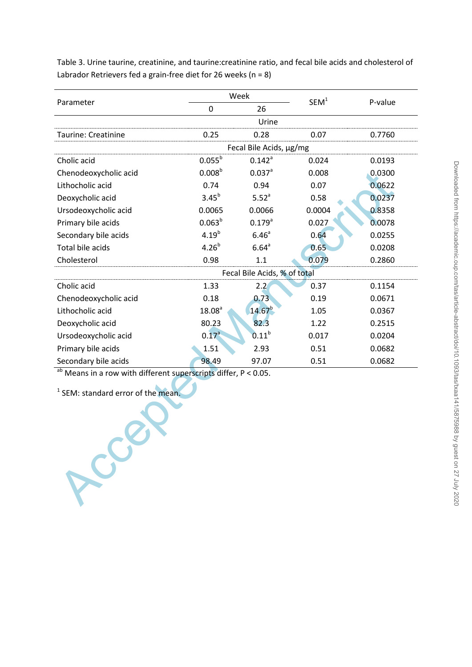Table 3. Urine taurine, creatinine, and taurine:creatinine ratio, and fecal bile acids and cholesterol of Labrador Retrievers fed a grain-free diet for 26 weeks ( $n = 8$ )

|                                                                   |                         | Week                         | SEM <sup>1</sup> |         |  |  |  |
|-------------------------------------------------------------------|-------------------------|------------------------------|------------------|---------|--|--|--|
| Parameter                                                         | 0                       | 26                           |                  | P-value |  |  |  |
|                                                                   |                         | Urine                        |                  |         |  |  |  |
| Taurine: Creatinine                                               | 0.25                    | 0.28                         | 0.07             | 0.7760  |  |  |  |
|                                                                   | Fecal Bile Acids, µg/mg |                              |                  |         |  |  |  |
| Cholic acid                                                       | $0.055^{b}$             | $0.142^a$                    | 0.024            | 0.0193  |  |  |  |
| Chenodeoxycholic acid                                             | 0.008 <sup>b</sup>      | $0.037$ <sup>a</sup>         | 0.008            | 0.0300  |  |  |  |
| Lithocholic acid                                                  | 0.74                    | 0.94                         | 0.07             | 0.0622  |  |  |  |
| Deoxycholic acid                                                  | $3.45^{b}$              | 5.52 <sup>a</sup>            | 0.58             | 0.0237  |  |  |  |
| Ursodeoxycholic acid                                              | 0.0065                  | 0.0066                       | 0.0004           | 0.8358  |  |  |  |
| Primary bile acids                                                | 0.063 <sup>b</sup>      | $0.179^{a}$                  | 0.027            | 0.0078  |  |  |  |
| Secondary bile acids                                              | $4.19^{b}$              | 6.46 <sup>a</sup>            | 0.64             | 0.0255  |  |  |  |
| Total bile acids                                                  | $4.26^{b}$              | 6.64 <sup>a</sup>            | 0.65             | 0.0208  |  |  |  |
| Cholesterol                                                       | 0.98                    | 1.1                          | 0.079            | 0.2860  |  |  |  |
|                                                                   |                         | Fecal Bile Acids, % of total |                  |         |  |  |  |
| Cholic acid                                                       | 1.33                    | 2.2                          | 0.37             | 0.1154  |  |  |  |
| Chenodeoxycholic acid                                             | 0.18                    | 0.73                         | 0.19             | 0.0671  |  |  |  |
| Lithocholic acid                                                  | 18.08 <sup>a</sup>      | $14.67^{b}$                  | 1.05             | 0.0367  |  |  |  |
| Deoxycholic acid                                                  | 80.23                   | 82.3                         | 1.22             | 0.2515  |  |  |  |
| Ursodeoxycholic acid                                              | $0.17^{a}$              | $0.11^{b}$                   | 0.017            | 0.0204  |  |  |  |
| Primary bile acids                                                | 1.51                    | 2.93                         | 0.51             | 0.0682  |  |  |  |
| Secondary bile acids                                              | 98.49                   | 97.07                        | 0.51             | 0.0682  |  |  |  |
| $ab$ Means in a row with different superscripts differ, P < 0.05. |                         |                              |                  |         |  |  |  |
|                                                                   |                         |                              |                  |         |  |  |  |
| <sup>1</sup> SEM: standard error of the mean.                     |                         |                              |                  |         |  |  |  |
|                                                                   |                         |                              |                  |         |  |  |  |
|                                                                   |                         |                              |                  |         |  |  |  |
|                                                                   |                         |                              |                  |         |  |  |  |
|                                                                   |                         |                              |                  |         |  |  |  |
|                                                                   |                         |                              |                  |         |  |  |  |
|                                                                   |                         |                              |                  |         |  |  |  |
| $S_{\chi}$                                                        |                         |                              |                  |         |  |  |  |
|                                                                   |                         |                              |                  |         |  |  |  |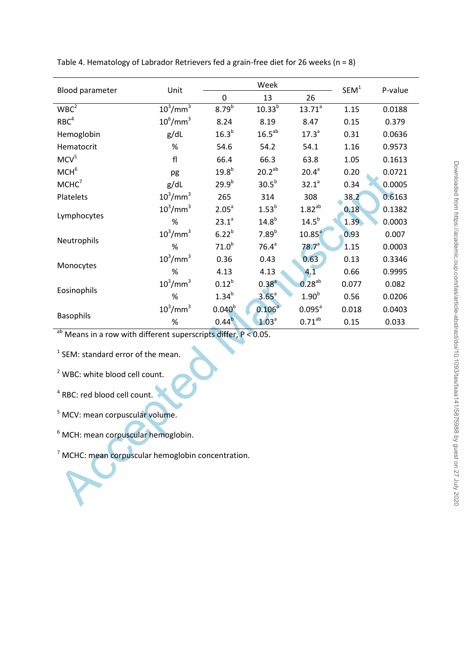|                                                                   | Unit                    | Week               |                   |                    | SEM <sup>1</sup>  |         |  |
|-------------------------------------------------------------------|-------------------------|--------------------|-------------------|--------------------|-------------------|---------|--|
| Blood parameter                                                   |                         | $\mathbf 0$        | 13                | 26                 |                   | P-value |  |
| WBC <sup>2</sup>                                                  | $10^3$ /mm $^3$         | 8.79 <sup>b</sup>  | $10.33^{b}$       | $13.71^{a}$        | 1.15              | 0.0188  |  |
| RBC <sup>4</sup>                                                  | $10^6$ /mm <sup>3</sup> | 8.24               | 8.19              | 8.47               | 0.15              | 0.379   |  |
| Hemoglobin                                                        | g/dL                    | 16.3 <sup>b</sup>  | $16.5^{ab}$       | $17.3^{a}$         | 0.31              | 0.0636  |  |
| Hematocrit                                                        | $\%$                    | 54.6               | 54.2              | 54.1               | 1.16              | 0.9573  |  |
| MCV <sup>5</sup>                                                  | f <sub>l</sub>          | 66.4               | 66.3              | 63.8               | 1.05              | 0.1613  |  |
| MCH <sup>6</sup>                                                  | pg                      | $19.8^{b}$         | $20.2^{ab}$       | 20.4 <sup>a</sup>  | 0.20              | 0.0721  |  |
| MCHC <sup>7</sup>                                                 | g/dL                    | $29.9^{b}$         | 30.5 <sup>b</sup> | 32.1 <sup>a</sup>  | 0.34              | 0.0005  |  |
| Platelets                                                         | $10^3$ /mm $^3$         | 265                | 314               | 308                | 38.2              | 0.6163  |  |
| Lymphocytes                                                       | $10^3$ /mm $^3$         | 2.05 <sup>a</sup>  | $1.53^{b}$        | $1.82^{ab}$        | 0.18              | 0.1382  |  |
|                                                                   | $\%$                    | 23.1 <sup>a</sup>  | $14.8^{b}$        | $14.5^{b}$         | 1.39 <sub>o</sub> | 0.0003  |  |
| Neutrophils                                                       | $10^3$ /mm $^3$         | $6.22^{b}$         | 7.89 <sup>b</sup> | 10.85 <sup>a</sup> | 0.93              | 0.007   |  |
|                                                                   | %                       | 71.0 <sup>b</sup>  | 76.4 <sup>a</sup> | $78.7^{a}$         | 1.15              | 0.0003  |  |
| Monocytes                                                         | $10^3$ /mm $^3$         | 0.36               | 0.43              | 0.63               | 0.13              | 0.3346  |  |
|                                                                   | %                       | 4.13               | 4.13              | 4.1                | 0.66              | 0.9995  |  |
| Eosinophils                                                       | $10^3$ /mm $^3$         | $0.12^{b}$         | $0.38^{a}$        | $0.28^{ab}$        | 0.077             | 0.082   |  |
|                                                                   | %                       | $1.34^{b}$         | 3.65 <sup>a</sup> | 1.90 <sup>b</sup>  | 0.56              | 0.0206  |  |
| <b>Basophils</b>                                                  | $10^3$ /mm $^3$         | 0.040 <sup>b</sup> | $0.106^{a}$       | $0.095^a$          | 0.018             | 0.0403  |  |
|                                                                   | %                       | 0.44 <sup>b</sup>  | 1.03 <sup>a</sup> | $0.71^{ab}$        | 0.15              | 0.033   |  |
| $ab$ Means in a row with different superscripts differ, P < 0.05. |                         |                    |                   |                    |                   |         |  |
| <sup>1</sup> SEM: standard error of the mean.                     |                         |                    |                   |                    |                   |         |  |
| <sup>2</sup> WBC: white blood cell count.                         |                         |                    |                   |                    |                   |         |  |
| <sup>4</sup> RBC: red blood cell count.                           |                         |                    |                   |                    |                   |         |  |
| <sup>5</sup> MCV: mean corpuscular volume.                        |                         |                    |                   |                    |                   |         |  |
| <sup>6</sup> MCH: mean corpuscular hemoglobin.                    |                         |                    |                   |                    |                   |         |  |
| <sup>7</sup> MCHC: mean corpuscular hemoglobin concentration.     |                         |                    |                   |                    |                   |         |  |

Table 4. Hematology of Labrador Retrievers fed a grain-free diet for 26 weeks ( $n = 8$ )